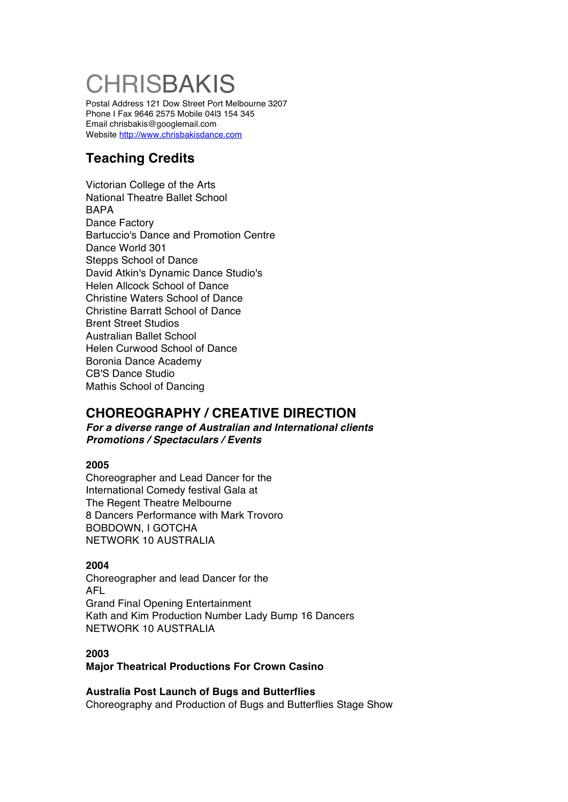# **CHRISBAKIS**

Postal Address 121 Dow Street Port Melbourne 3207 Phone I Fax 9646 2575 Mobile 04l3 154 345 Email chrisbakis@googlemail.com Website http://www.chrisbakisdance.com

# **Teaching Credits**

Victorian College of the Arts National Theatre Ballet School BAPA Dance Factory Bartuccio's Dance and Promotion Centre Dance World 301 Stepps School of Dance David Atkin's Dynamic Dance Studio's Helen Allcock School of Dance Christine Waters School of Dance Christine Barratt School of Dance Brent Street Studios Australian Ballet School Helen Curwood School of Dance Boronia Dance Academy CB'S Dance Studio Mathis School of Dancing

# **CHOREOGRAPHY / CREATIVE DIRECTION**

*For a diverse range of Australian and International clients Promotions / Spectaculars / Events*

## **2005**

Choreographer and Lead Dancer for the International Comedy festival Gala at The Regent Theatre Melbourne 8 Dancers Performance with Mark Trovoro BOBDOWN, I GOTCHA NETWORK 10 AUSTRALIA

## **2004**

Choreographer and lead Dancer for the AFL Grand Final Opening Entertainment Kath and Kim Production Number Lady Bump 16 Dancers NETWORK 10 AUSTRALIA

## **2003**

**Major Theatrical Productions For Crown Casino**

**Australia Post Launch of Bugs and Butterflies** Choreography and Production of Bugs and Butterflies Stage Show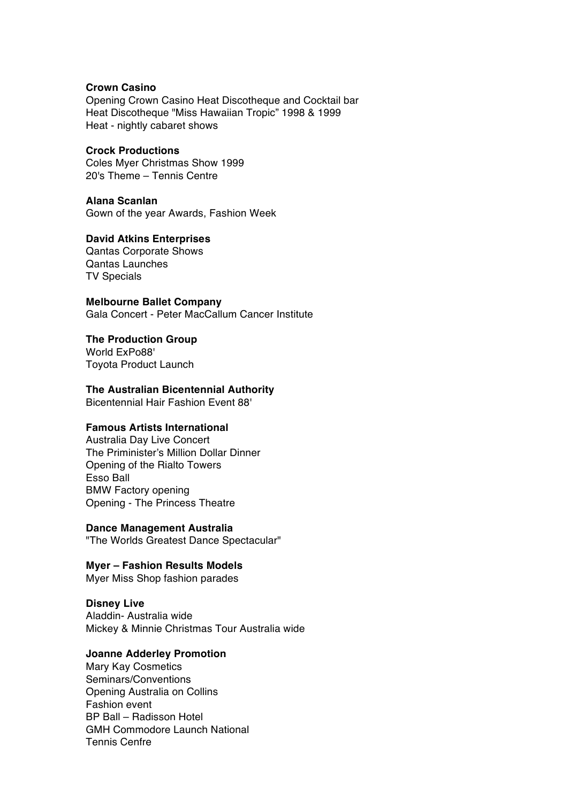#### **Crown Casino**

Opening Crown Casino Heat Discotheque and Cocktail bar Heat Discotheque "Miss Hawaiian Tropic" 1998 & 1999 Heat - nightly cabaret shows

## **Crock Productions**

Coles Myer Christmas Show 1999 20's Theme – Tennis Centre

## **Alana Scanlan**

Gown of the year Awards, Fashion Week

## **David Atkins Enterprises**

Qantas Corporate Shows Qantas Launches TV Specials

**Melbourne Ballet Company** Gala Concert - Peter MacCallum Cancer Institute

#### **The Production Group** World ExPo88'

Toyota Product Launch

## **The Australian Bicentennial Authority**

Bicentennial Hair Fashion Event 88'

## **Famous Artists International**

Australia Day Live Concert The Priminister's Million Dollar Dinner Opening of the Rialto Towers Esso Ball BMW Factory opening Opening - The Princess Theatre

**Dance Management Australia** "The Worlds Greatest Dance Spectacular"

## **Myer – Fashion Results Models**

Myer Miss Shop fashion parades

## **Disney Live**

Aladdin- Australia wide Mickey & Minnie Christmas Tour Australia wide

## **Joanne Adderley Promotion**

Mary Kay Cosmetics Seminars/Conventions Opening Australia on Collins Fashion event BP Ball – Radisson Hotel GMH Commodore Launch National Tennis Cenfre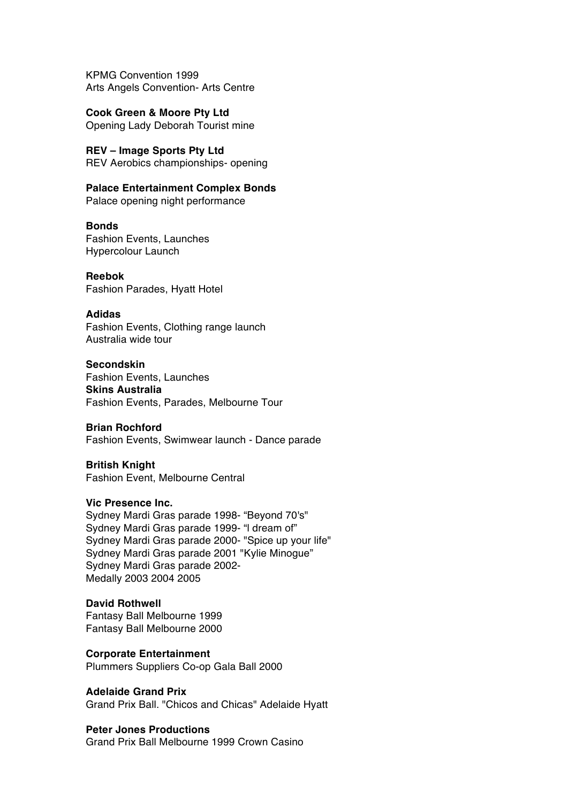KPMG Convention 1999 Arts Angels Convention- Arts Centre

**Cook Green & Moore Pty Ltd** Opening Lady Deborah Tourist mine

**REV – Image Sports Pty Ltd** REV Aerobics championships- opening

**Palace Entertainment Complex Bonds** Palace opening night performance

**Bonds**

Fashion Events, Launches Hypercolour Launch

**Reebok** Fashion Parades, Hyatt Hotel

## **Adidas**

Fashion Events, Clothing range launch Australia wide tour

**Secondskin**

Fashion Events, Launches **Skins Australia** Fashion Events, Parades, Melbourne Tour

#### **Brian Rochford**

Fashion Events, Swimwear launch - Dance parade

**British Knight**  Fashion Event, Melbourne Central

#### **Vic Presence Inc.**

Sydney Mardi Gras parade 1998- "Beyond 70's" Sydney Mardi Gras parade 1999- "l dream of" Sydney Mardi Gras parade 2000- "Spice up your life" Sydney Mardi Gras parade 2001 "Kylie Minogue" Sydney Mardi Gras parade 2002- Medally 2003 2004 2005

## **David Rothwell**

Fantasy Ball Melbourne 1999 Fantasy Ball Melbourne 2000

**Corporate Entertainment**  Plummers Suppliers Co-op Gala Ball 2000

**Adelaide Grand Prix**  Grand Prix Ball. "Chicos and Chicas" Adelaide Hyatt

## **Peter Jones Productions**

Grand Prix Ball Melbourne 1999 Crown Casino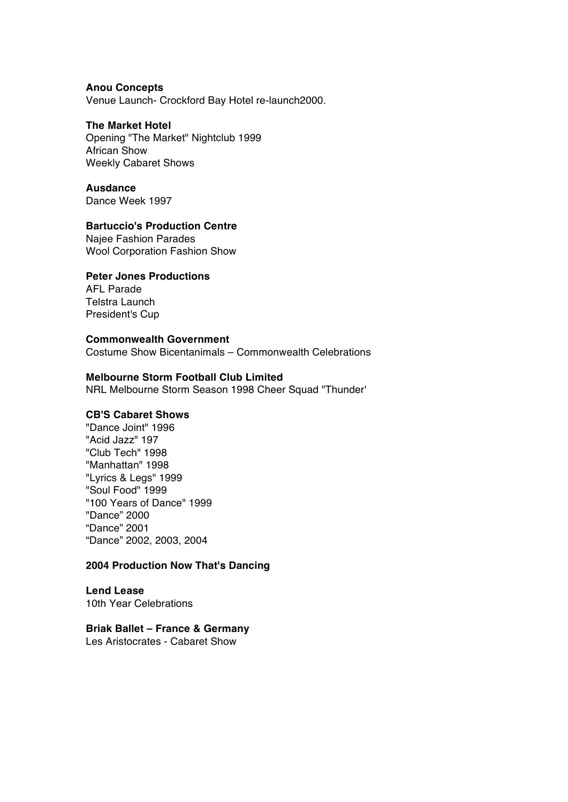## **Anou Concepts**

Venue Launch- Crockford Bay Hotel re-launch2000.

## **The Market Hotel**

Opening "The Market" Nightclub 1999 African Show Weekly Cabaret Shows

**Ausdance**  Dance Week 1997

## **Bartuccio's Production Centre**

Najee Fashion Parades Wool Corporation Fashion Show

## **Peter Jones Productions**

AFL Parade Telstra Launch President's Cup

## **Commonwealth Government**

Costume Show Bicentanimals – Commonwealth Celebrations

## **Melbourne Storm Football Club Limited**

NRL Melbourne Storm Season 1998 Cheer Squad "Thunder'

## **CB'S Cabaret Shows**

"Dance Joint" 1996 "Acid Jazz" 197 "Club Tech" 1998 "Manhattan" 1998 "Lyrics & Legs" 1999 "Soul Food" 1999 "100 Years of Dance" 1999 "Dance" 2000 "Dance" 2001 "Dance" 2002, 2003, 2004

## **2004 Production Now That's Dancing**

**Lend Lease**  10th Year Celebrations

## **Briak Ballet – France & Germany**

Les Aristocrates - Cabaret Show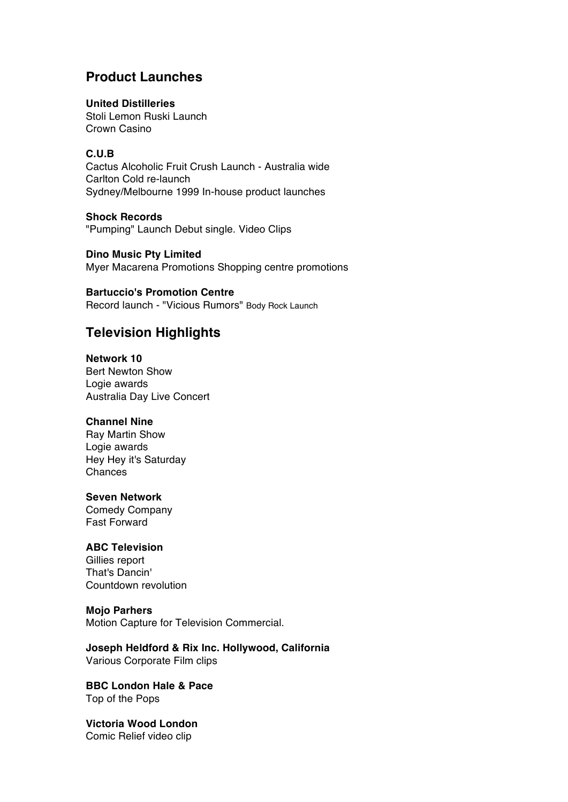## **Product Launches**

## **United Distilleries**

Stoli Lemon Ruski Launch Crown Casino

## **C.U.B**

Cactus Alcoholic Fruit Crush Launch - Australia wide Carlton Cold re-launch Sydney/Melbourne 1999 In-house product launches

**Shock Records** "Pumping" Launch Debut single. Video Clips

**Dino Music Pty Limited**  Myer Macarena Promotions Shopping centre promotions

## **Bartuccio's Promotion Centre**

Record launch - "Vicious Rumors" Body Rock Launch

## **Television Highlights**

**Network 10** Bert Newton Show Logie awards Australia Day Live Concert

## **Channel Nine**

Ray Martin Show Logie awards Hey Hey it's Saturday Chances

## **Seven Network**

Comedy Company Fast Forward

## **ABC Television**

Gillies report That's Dancin' Countdown revolution

## **Mojo Parhers**

Motion Capture for Television Commercial.

**Joseph Heldford & Rix Inc. Hollywood, California** Various Corporate Film clips

**BBC London Hale & Pace**  Top of the Pops

**Victoria Wood London**  Comic Relief video clip